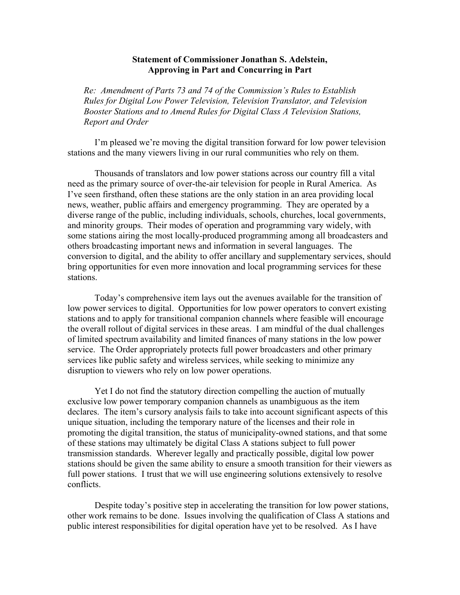## **Statement of Commissioner Jonathan S. Adelstein, Approving in Part and Concurring in Part**

*Re: Amendment of Parts 73 and 74 of the Commission's Rules to Establish Rules for Digital Low Power Television, Television Translator, and Television Booster Stations and to Amend Rules for Digital Class A Television Stations, Report and Order* 

I'm pleased we're moving the digital transition forward for low power television stations and the many viewers living in our rural communities who rely on them.

Thousands of translators and low power stations across our country fill a vital need as the primary source of over-the-air television for people in Rural America. As I've seen firsthand, often these stations are the only station in an area providing local news, weather, public affairs and emergency programming. They are operated by a diverse range of the public, including individuals, schools, churches, local governments, and minority groups. Their modes of operation and programming vary widely, with some stations airing the most locally-produced programming among all broadcasters and others broadcasting important news and information in several languages. The conversion to digital, and the ability to offer ancillary and supplementary services, should bring opportunities for even more innovation and local programming services for these stations.

Today's comprehensive item lays out the avenues available for the transition of low power services to digital. Opportunities for low power operators to convert existing stations and to apply for transitional companion channels where feasible will encourage the overall rollout of digital services in these areas. I am mindful of the dual challenges of limited spectrum availability and limited finances of many stations in the low power service. The Order appropriately protects full power broadcasters and other primary services like public safety and wireless services, while seeking to minimize any disruption to viewers who rely on low power operations.

Yet I do not find the statutory direction compelling the auction of mutually exclusive low power temporary companion channels as unambiguous as the item declares. The item's cursory analysis fails to take into account significant aspects of this unique situation, including the temporary nature of the licenses and their role in promoting the digital transition, the status of municipality-owned stations, and that some of these stations may ultimately be digital Class A stations subject to full power transmission standards. Wherever legally and practically possible, digital low power stations should be given the same ability to ensure a smooth transition for their viewers as full power stations. I trust that we will use engineering solutions extensively to resolve conflicts.

 Despite today's positive step in accelerating the transition for low power stations, other work remains to be done. Issues involving the qualification of Class A stations and public interest responsibilities for digital operation have yet to be resolved. As I have